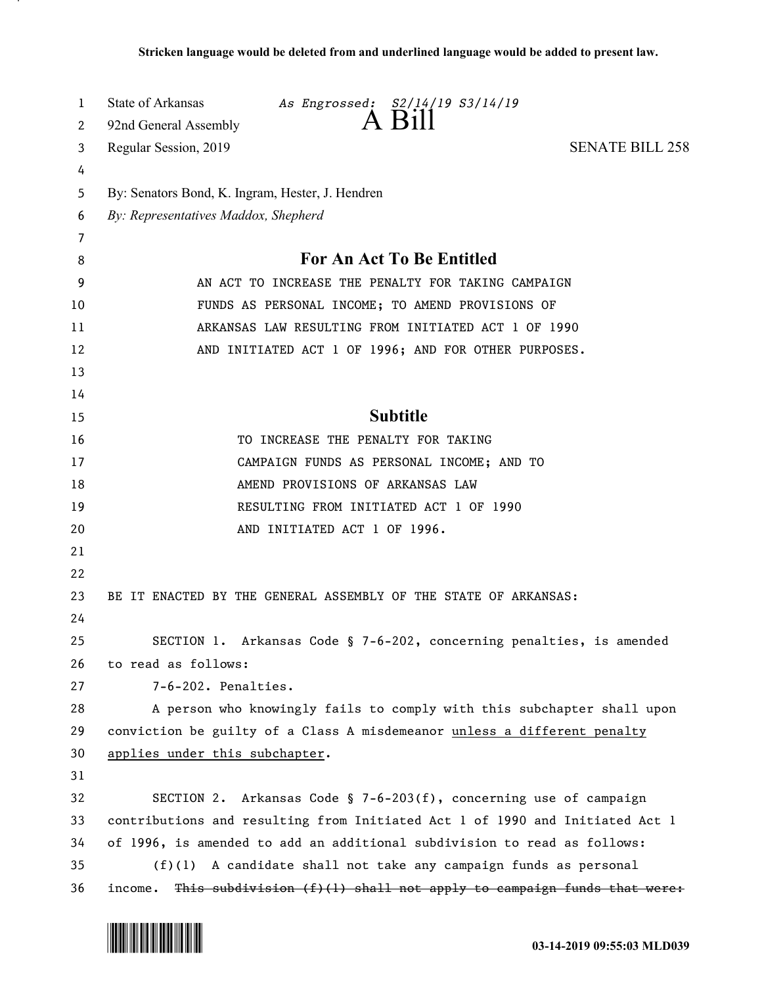| 1  | State of Arkansas<br>As Engrossed: S2/14/19 S3/14/19                              |
|----|-----------------------------------------------------------------------------------|
| 2  | $A$ Bill<br>92nd General Assembly                                                 |
| 3  | <b>SENATE BILL 258</b><br>Regular Session, 2019                                   |
| 4  |                                                                                   |
| 5  | By: Senators Bond, K. Ingram, Hester, J. Hendren                                  |
| 6  | By: Representatives Maddox, Shepherd                                              |
| 7  |                                                                                   |
| 8  | <b>For An Act To Be Entitled</b>                                                  |
| 9  | AN ACT TO INCREASE THE PENALTY FOR TAKING CAMPAIGN                                |
| 10 | FUNDS AS PERSONAL INCOME; TO AMEND PROVISIONS OF                                  |
| 11 | ARKANSAS LAW RESULTING FROM INITIATED ACT 1 OF 1990                               |
| 12 | AND INITIATED ACT 1 OF 1996; AND FOR OTHER PURPOSES.                              |
| 13 |                                                                                   |
| 14 |                                                                                   |
| 15 | <b>Subtitle</b>                                                                   |
| 16 | TO INCREASE THE PENALTY FOR TAKING                                                |
| 17 | CAMPAIGN FUNDS AS PERSONAL INCOME; AND TO                                         |
| 18 | AMEND PROVISIONS OF ARKANSAS LAW                                                  |
| 19 | RESULTING FROM INITIATED ACT 1 OF 1990                                            |
| 20 | AND INITIATED ACT 1 OF 1996.                                                      |
| 21 |                                                                                   |
| 22 |                                                                                   |
| 23 | BE IT ENACTED BY THE GENERAL ASSEMBLY OF THE STATE OF ARKANSAS:                   |
| 24 |                                                                                   |
| 25 | SECTION 1. Arkansas Code § 7-6-202, concerning penalties, is amended              |
| 26 | to read as follows:                                                               |
| 27 | 7-6-202. Penalties.                                                               |
| 28 | A person who knowingly fails to comply with this subchapter shall upon            |
| 29 | conviction be guilty of a Class A misdemeanor unless a different penalty          |
| 30 | applies under this subchapter.                                                    |
| 31 |                                                                                   |
| 32 | SECTION 2. Arkansas Code § 7-6-203(f), concerning use of campaign                 |
| 33 | contributions and resulting from Initiated Act 1 of 1990 and Initiated Act 1      |
| 34 | of 1996, is amended to add an additional subdivision to read as follows:          |
| 35 | A candidate shall not take any campaign funds as personal<br>(f)(1)               |
| 36 | This subdivision $(f)(1)$ shall not apply to campaign funds that were:<br>income. |

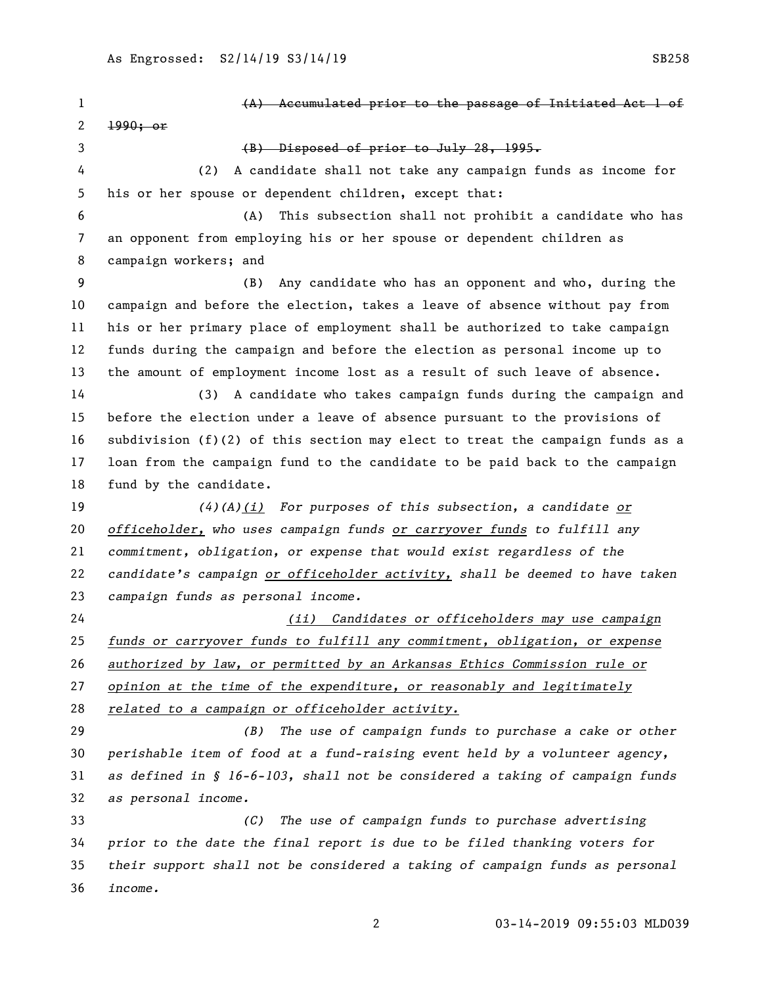1 (A) Accumulated prior to the passage of Initiated Act 1 of 1990; or (B) Disposed of prior to July 28, 1995. (2) A candidate shall not take any campaign funds as income for his or her spouse or dependent children, except that: (A) This subsection shall not prohibit a candidate who has an opponent from employing his or her spouse or dependent children as campaign workers; and (B) Any candidate who has an opponent and who, during the campaign and before the election, takes a leave of absence without pay from his or her primary place of employment shall be authorized to take campaign funds during the campaign and before the election as personal income up to the amount of employment income lost as a result of such leave of absence. (3) A candidate who takes campaign funds during the campaign and before the election under a leave of absence pursuant to the provisions of subdivision (f)(2) of this section may elect to treat the campaign funds as a loan from the campaign fund to the candidate to be paid back to the campaign fund by the candidate. *(4)(A)(i) For purposes of this subsection, a candidate or officeholder, who uses campaign funds or carryover funds to fulfill any commitment, obligation, or expense that would exist regardless of the candidate's campaign or officeholder activity, shall be deemed to have taken campaign funds as personal income. (ii) Candidates or officeholders may use campaign funds or carryover funds to fulfill any commitment, obligation, or expense authorized by law, or permitted by an Arkansas Ethics Commission rule or opinion at the time of the expenditure, or reasonably and legitimately related to a campaign or officeholder activity. (B) The use of campaign funds to purchase a cake or other perishable item of food at a fund-raising event held by a volunteer agency, as defined in § 16-6-103, shall not be considered a taking of campaign funds as personal income. (C) The use of campaign funds to purchase advertising prior to the date the final report is due to be filed thanking voters for their support shall not be considered a taking of campaign funds as personal income.*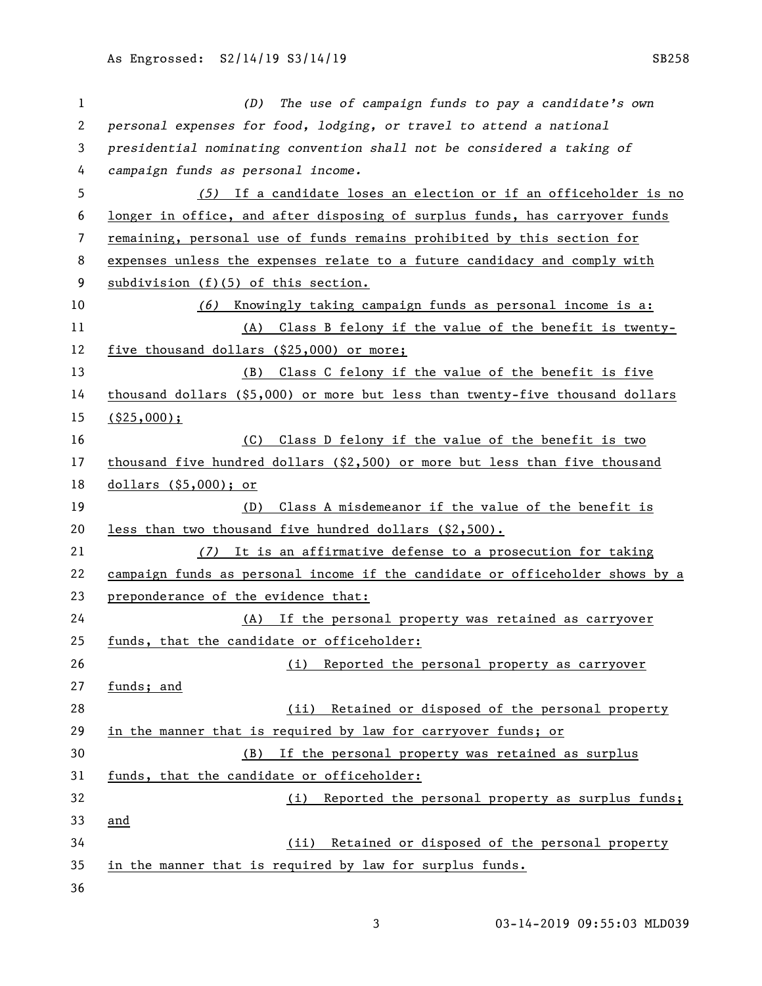| 1                     | The use of campaign funds to pay a candidate's own<br>(D)                       |
|-----------------------|---------------------------------------------------------------------------------|
| $\mathbf{2}^{\prime}$ | personal expenses for food, lodging, or travel to attend a national             |
| 3                     | presidential nominating convention shall not be considered a taking of          |
| 4                     | campaign funds as personal income.                                              |
| 5                     | (5) If a candidate loses an election or if an officeholder is no                |
| 6                     | longer in office, and after disposing of surplus funds, has carryover funds     |
| $\overline{7}$        | remaining, personal use of funds remains prohibited by this section for         |
| 8                     | expenses unless the expenses relate to a future candidacy and comply with       |
| 9                     | subdivision $(f)(5)$ of this section.                                           |
| 10                    | (6) Knowingly taking campaign funds as personal income is a:                    |
| 11                    | (A) Class B felony if the value of the benefit is twenty-                       |
| 12                    | five thousand dollars (\$25,000) or more;                                       |
| 13                    | (B) Class C felony if the value of the benefit is five                          |
| 14                    | thousand dollars $(\$5,000)$ or more but less than twenty-five thousand dollars |
| 15                    | $($ \$25,000);                                                                  |
| 16                    | Class D felony if the value of the benefit is two<br>(C)                        |
| 17                    | thousand five hundred dollars $(\$2,500)$ or more but less than five thousand   |
| 18                    | dollars $(55,000)$ ; or                                                         |
| 19                    | Class A misdemeanor if the value of the benefit is<br>(D)                       |
| 20                    | less than two thousand five hundred dollars (\$2,500).                          |
|                       |                                                                                 |
| 21                    | (7) It is an affirmative defense to a prosecution for taking                    |
| 22                    | campaign funds as personal income if the candidate or officeholder shows by a   |
| 23                    | preponderance of the evidence that:                                             |
| 24                    | (A) If the personal property was retained as carryover                          |
| 25                    | funds, that the candidate or officeholder:                                      |
| 26                    | (i) Reported the personal property as carryover                                 |
| 27                    | funds; and                                                                      |
| 28                    | (ii) Retained or disposed of the personal property                              |
| 29                    | in the manner that is required by law for carryover funds; or                   |
| 30                    | (B) If the personal property was retained as surplus                            |
| 31                    | funds, that the candidate or officeholder:                                      |
| 32                    | (i) Reported the personal property as surplus funds;                            |
| 33                    | and                                                                             |
| 34                    | (ii) Retained or disposed of the personal property                              |
| 35                    | in the manner that is required by law for surplus funds.                        |